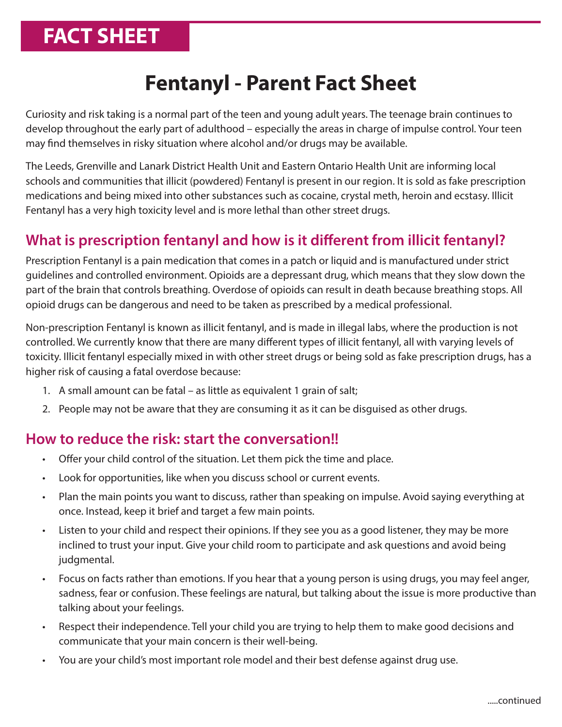# **FACT SHEET**

## **Fentanyl - Parent Fact Sheet**

Curiosity and risk taking is a normal part of the teen and young adult years. The teenage brain continues to develop throughout the early part of adulthood – especially the areas in charge of impulse control. Your teen may find themselves in risky situation where alcohol and/or drugs may be available.

The Leeds, Grenville and Lanark District Health Unit and Eastern Ontario Health Unit are informing local schools and communities that illicit (powdered) Fentanyl is present in our region. It is sold as fake prescription medications and being mixed into other substances such as cocaine, crystal meth, heroin and ecstasy. Illicit Fentanyl has a very high toxicity level and is more lethal than other street drugs.

## **What is prescription fentanyl and how is it different from illicit fentanyl?**

Prescription Fentanyl is a pain medication that comes in a patch or liquid and is manufactured under strict guidelines and controlled environment. Opioids are a depressant drug, which means that they slow down the part of the brain that controls breathing. Overdose of opioids can result in death because breathing stops. All opioid drugs can be dangerous and need to be taken as prescribed by a medical professional.

Non-prescription Fentanyl is known as illicit fentanyl, and is made in illegal labs, where the production is not controlled. We currently know that there are many different types of illicit fentanyl, all with varying levels of toxicity. Illicit fentanyl especially mixed in with other street drugs or being sold as fake prescription drugs, has a higher risk of causing a fatal overdose because:

- 1. A small amount can be fatal as little as equivalent 1 grain of salt;
- 2. People may not be aware that they are consuming it as it can be disguised as other drugs.

#### **How to reduce the risk: start the conversation!!**

- Offer your child control of the situation. Let them pick the time and place.
- Look for opportunities, like when you discuss school or current events.
- Plan the main points you want to discuss, rather than speaking on impulse. Avoid saying everything at once. Instead, keep it brief and target a few main points.
- Listen to your child and respect their opinions. If they see you as a good listener, they may be more inclined to trust your input. Give your child room to participate and ask questions and avoid being judgmental.
- Focus on facts rather than emotions. If you hear that a young person is using drugs, you may feel anger, sadness, fear or confusion. These feelings are natural, but talking about the issue is more productive than talking about your feelings.
- Respect their independence. Tell your child you are trying to help them to make good decisions and communicate that your main concern is their well-being.
- You are your child's most important role model and their best defense against drug use.